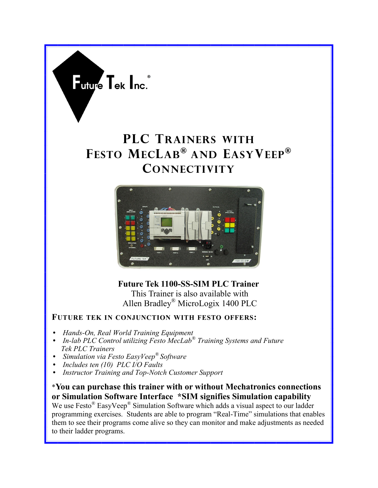

# **PLC TRAINERS WITH FESTO MECLAB® AND EASYVEEP® CONNECTIVITY**



 **Future Tek 1100-SS-SIM PLC Trainer** This Trainer is also available with Allen Bradley® MicroLogix 1400 PLC

#### **FUTURE TEK IN CONJUNCTION WITH FESTO OFFERS:**

- *Hands-On, Real World Training Equipment*
- *In-lab PLC Control utilizing Festo MecLab® Training Systems and Future Tek PLC Trainers*
- *Simulation via Festo EasyVeep® Software*
- *Includes ten (10) PLC I/O Faults*
- *Instructor Training and Top-Notch Customer Support*

\***You can purchase this trainer with or without Mechatronics connections or Simulation Software Interface \*SIM signifies Simulation capability**

We use Festo<sup>®</sup> EasyVeep<sup>®</sup> Simulation Software which adds a visual aspect to our ladder programming exercises. Students are able to program "Real-Time" simulations that enables them to see their programs come alive so they can monitor and make adjustments as needed to their ladder programs.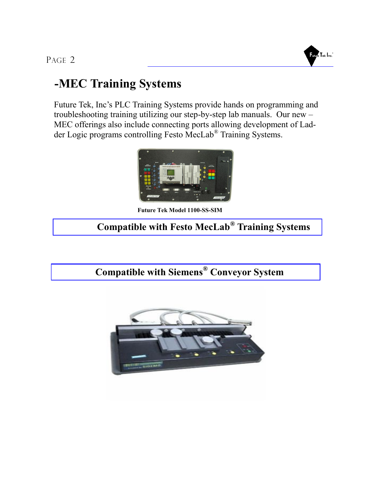PAGE 2



### **-MEC Training Systems**

Future Tek, Inc's PLC Training Systems provide hands on programming and troubleshooting training utilizing our step-by-step lab manuals. Our new – MEC offerings also include connecting ports allowing development of Ladder Logic programs controlling Festo MecLab® Training Systems.



**Future Tek Model 1100-SS-SIM**

#### **Compatible with Festo MecLab® Training Systems**

 **Compatible with Siemens® Conveyor System**

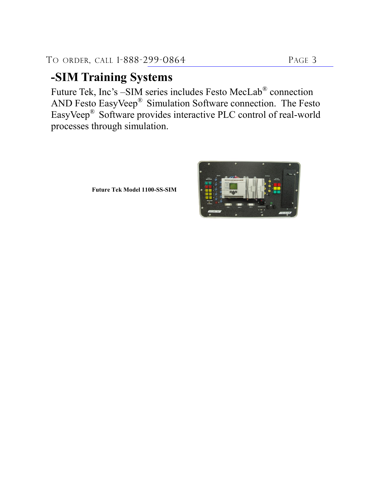## **-SIM Training Systems**

Future Tek, Inc's –SIM series includes Festo MecLab<sup>®</sup> connection AND Festo EasyVeep® Simulation Software connection. The Festo EasyVeep® Software provides interactive PLC control of real-world processes through simulation.

**Future Tek Model 1100-SS-SIM**